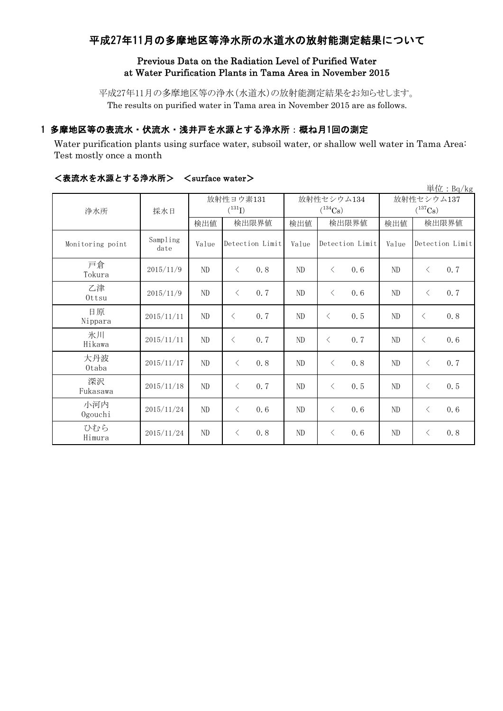# 平成27年11月の多摩地区等浄水所の水道水の放射能測定結果について

### Previous Data on the Radiation Level of Purified Water at Water Purification Plants in Tama Area in November 2015

平成27年11月の多摩地区等の浄水(水道水)の放射能測定結果をお知らせします。 The results on purified water in Tama area in November 2015 are as follows.

# 1 多摩地区等の表流水・伏流水・浅井戸を水源とする浄水所:概ね月1回の測定

Water purification plants using surface water, subsoil water, or shallow well water in Tama Area: Test mostly once a month

|                  |                  |          |                          |          |                            |                            | 単位: Bq/kg        |  |
|------------------|------------------|----------|--------------------------|----------|----------------------------|----------------------------|------------------|--|
| 浄水所              | 採水日              |          | 放射性ヨウ素131<br>$(^{131}I)$ |          | 放射性セシウム134<br>$(^{134}Cs)$ | 放射性セシウム137<br>$(^{137}Cs)$ |                  |  |
|                  |                  | 検出値      | 検出限界値                    | 検出値      | 検出限界値                      | 検出値                        | 検出限界値            |  |
| Monitoring point | Sampling<br>date | Value    | Detection Limit          | Value    | Detection Limit            | Value                      | Detection Limit  |  |
| 戸倉<br>Tokura     | 2015/11/9        | $\rm ND$ | 0.8<br>$\langle$         | $\rm ND$ | $\langle$<br>0.6           | ND                         | 0.7<br>$\langle$ |  |
| 乙津<br>$0$ ttsu   | 2015/11/9        | ND       | 0.7<br>$\langle$         | $\rm ND$ | $\langle$<br>0.6           | $\rm ND$                   | 0.7<br>$\langle$ |  |
| 日原<br>Nippara    | 2015/11/11       | $\rm ND$ | 0.7<br>$\langle$         | $\rm ND$ | 0.5<br>$\lt$               | ND                         | 0.8<br>$\lt$     |  |
| 氷川<br>Hikawa     | 2015/11/11       | ND       | 0.7<br>$\lt$             | ND       | $\lt$<br>0.7               | ND                         | 0.6<br>$\lt$     |  |
| 大丹波<br>0taba     | 2015/11/17       | $\rm ND$ | 0.8<br>$\lt$             | $\rm ND$ | $\langle$<br>0.8           | ND                         | 0.7<br>$\langle$ |  |
| 深沢<br>Fukasawa   | 2015/11/18       | ND       | 0.7<br>$\langle$         | $\rm ND$ | $\langle$<br>0.5           | $\rm ND$                   | 0.5<br>$\langle$ |  |
| 小河内<br>Ogouchi   | 2015/11/24       | $\rm ND$ | 0.6<br>$\lt$             | $\rm ND$ | $\langle$<br>0.6           | ND                         | 0.6<br>$\langle$ |  |
| ひむら<br>Himura    | 2015/11/24       | ND       | 0.8<br>$\lt$             | $\rm ND$ | 0.6<br>$\langle$           | ND                         | 0.8<br>$\langle$ |  |

#### <表流水を水源とする浄水所> <surface water>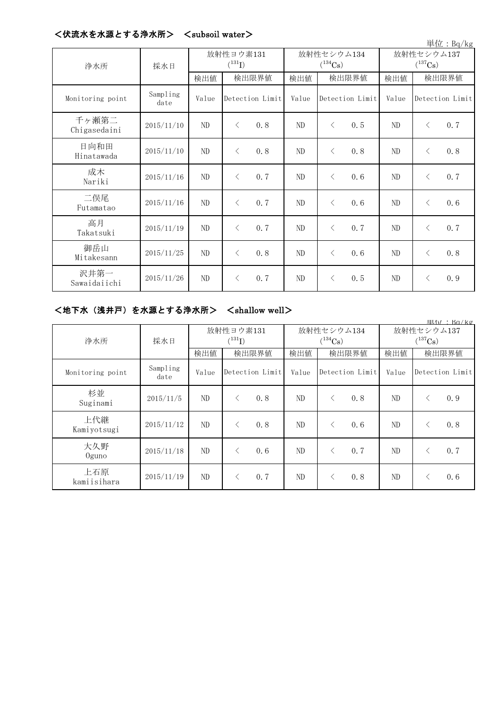| 単位: Bq/kg             |                  |                          |           |                 |                                     |           |                 |                                     |           |                 |
|-----------------------|------------------|--------------------------|-----------|-----------------|-------------------------------------|-----------|-----------------|-------------------------------------|-----------|-----------------|
| 浄水所                   | 採水日              | 放射性ヨウ素131<br>$(^{131}I)$ |           |                 | 放射性セシウム134<br>$(^{134}\mathrm{Cs})$ |           |                 | 放射性セシウム137<br>$(^{137}\mathrm{Cs})$ |           |                 |
|                       |                  | 検出値                      | 検出限界値     |                 | 検出値                                 | 検出限界値     |                 | 検出値                                 | 検出限界値     |                 |
| Monitoring point      | Sampling<br>date | Value                    |           | Detection Limit | Value                               |           | Detection Limit | Value                               |           | Detection Limit |
| 千ヶ瀬第二<br>Chigasedaini | 2015/11/10       | ND                       | $\lt$     | 0.8             | ND                                  | $\langle$ | 0.5             | ND                                  | $\langle$ | 0.7             |
| 日向和田<br>Hinatawada    | 2015/11/10       | ND                       | $\langle$ | 0.8             | ND                                  | $\langle$ | 0.8             | ND                                  | $\langle$ | 0.8             |
| 成木<br>Nariki          | 2015/11/16       | ND                       | $\langle$ | 0.7             | ND                                  | $\lt$     | 0.6             | ND                                  | $\langle$ | 0.7             |
| 二俣尾<br>Futamatao      | 2015/11/16       | $\rm ND$                 | $\lt$     | 0, 7            | ND                                  | $\lt$     | 0.6             | ND                                  | $\langle$ | 0.6             |
| 高月<br>Takatsuki       | 2015/11/19       | ND                       | $\langle$ | 0.7             | ND                                  | $\langle$ | 0.7             | ND                                  | $\langle$ | 0.7             |
| 御岳山<br>Mitakesann     | 2015/11/25       | ND                       | $\lt$     | 0.8             | ND                                  | $\langle$ | 0.6             | ND                                  | $\langle$ | 0.8             |
| 沢井第一<br>Sawaidaiichi  | 2015/11/26       | ND                       | $\lt$     | 0.7             | ND                                  | $\lt$     | 0.5             | ND                                  | $\langle$ | 0.9             |

# <伏流水を水源とする浄水所> <subsoil water>

# <地下水(浅井戸)を水源とする浄水所> <shallow well>

|                    |                  |       |                          |       |                            |                            | 电位·Ba/kg                            |  |
|--------------------|------------------|-------|--------------------------|-------|----------------------------|----------------------------|-------------------------------------|--|
| 浄水所                | 採水日              |       | 放射性ヨウ素131<br>$(^{131}I)$ |       | 放射性セシウム134<br>$(^{134}Cs)$ | 放射性セシウム137<br>$(^{137}Cs)$ |                                     |  |
|                    |                  | 検出値   | 検出限界値                    | 検出値   | 検出限界値                      | 検出値                        | 検出限界値                               |  |
| Monitoring point   | Sampling<br>date | Value | Detection Limit          | Value | Detection Limit            | Value                      | Detection Limit                     |  |
| 杉並<br>Suginami     | 2015/11/5        | ND    | 0.8                      | ND    | 0.8<br>⟨                   | N <sub>D</sub>             | 0.9<br>$\hspace{0.5cm}\mathopen{<}$ |  |
| 上代継<br>Kamiyotsugi | 2015/11/12       | ND    | 0.8<br>$\lt$             | ND    | 0.6<br>⟨                   | ND                         | 0.8<br>$\lt$                        |  |
| 大久野<br>$0$ guno    | 2015/11/18       | ND    | 0.6<br>$\lt$             | ND    | 0.7<br>ぐ                   | ND                         | 0.7<br>$\hspace{0.5cm}\mathopen{<}$ |  |
| 上石原<br>kamiisihara | 2015/11/19       | ND    | 0.7<br>$\langle$         | ND    | 0.8                        | ND                         | 0.6<br>$\hspace{0.5cm}\mathopen{<}$ |  |